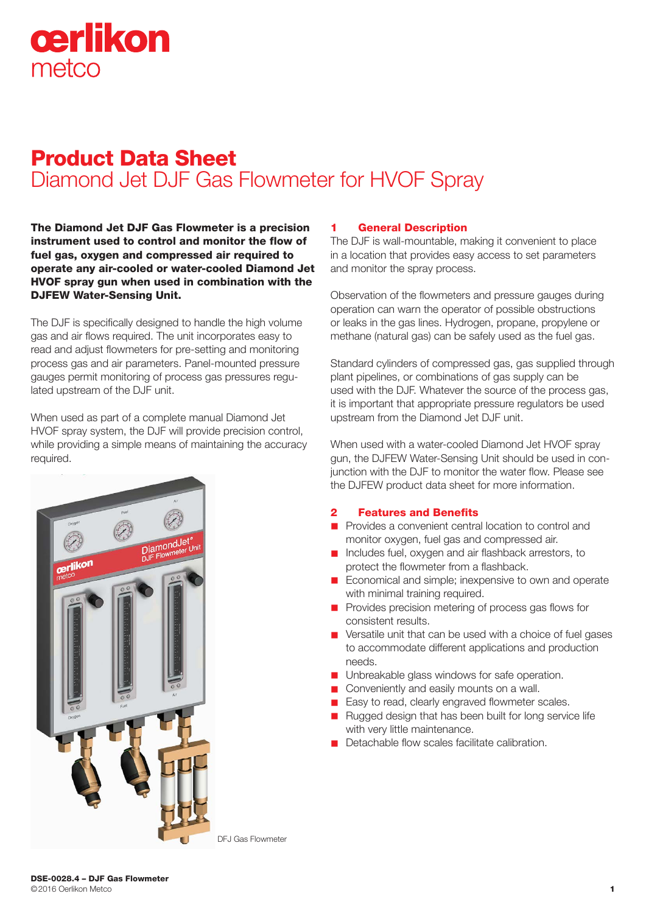# cerlikon metco

# Product Data Sheet Diamond Jet DJF Gas Flowmeter for HVOF Spray

The Diamond Jet DJF Gas Flowmeter is a precision instrument used to control and monitor the flow of fuel gas, oxygen and compressed air required to operate any air-cooled or water-cooled Diamond Jet HVOF spray gun when used in combination with the DJFEW Water-Sensing Unit.

The DJF is specifically designed to handle the high volume gas and air flows required. The unit incorporates easy to read and adjust flowmeters for pre-setting and monitoring process gas and air parameters. Panel-mounted pressure gauges permit monitoring of process gas pressures regulated upstream of the DJF unit.

When used as part of a complete manual Diamond Jet HVOF spray system, the DJF will provide precision control, while providing a simple means of maintaining the accuracy required.



#### 1 General Description

The DJF is wall-mountable, making it convenient to place in a location that provides easy access to set parameters and monitor the spray process.

Observation of the flowmeters and pressure gauges during operation can warn the operator of possible obstructions or leaks in the gas lines. Hydrogen, propane, propylene or methane (natural gas) can be safely used as the fuel gas.

Standard cylinders of compressed gas, gas supplied through plant pipelines, or combinations of gas supply can be used with the DJF. Whatever the source of the process gas, it is important that appropriate pressure regulators be used upstream from the Diamond Jet DJF unit.

When used with a water-cooled Diamond Jet HVOF spray gun, the DJFEW Water-Sensing Unit should be used in conjunction with the DJF to monitor the water flow. Please see the DJFEW product data sheet for more information.

#### **Features and Benefits**

- n Provides a convenient central location to control and monitor oxygen, fuel gas and compressed air.
- n Includes fuel, oxygen and air flashback arrestors, to protect the flowmeter from a flashback.
- $\blacksquare$  Economical and simple; inexpensive to own and operate with minimal training required.
- **n** Provides precision metering of process gas flows for consistent results.
- Versatile unit that can be used with a choice of fuel gases to accommodate different applications and production needs.
- **n** Unbreakable glass windows for safe operation.
- $\Box$  Conveniently and easily mounts on a wall.
- Easy to read, clearly engraved flowmeter scales.
- Rugged design that has been built for long service life with very little maintenance.
- n Detachable flow scales facilitate calibration.

DFJ Gas Flowmeter